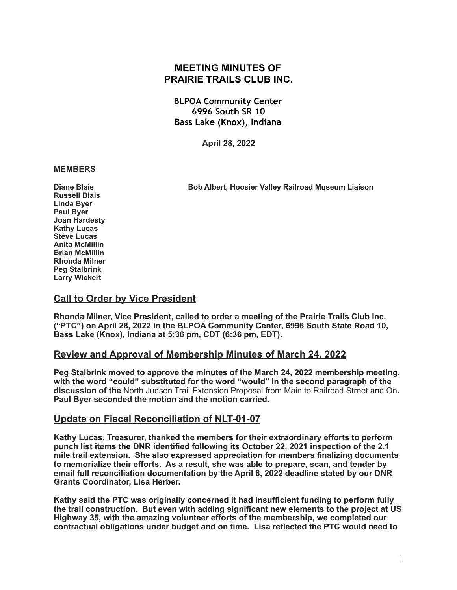# **MEETING MINUTES OF PRAIRIE TRAILS CLUB INC.**

**BLPOA Community Center 6996 South SR 10 Bass Lake (Knox), Indiana**

**April 28, 2022**

### **MEMBERS**

**Diane Blais Bob Albert, Hoosier Valley Railroad Museum Liaison** 

**Russell Blais Linda Byer Paul Byer Joan Hardesty Kathy Lucas Steve Lucas Anita McMillin Brian McMillin Rhonda Milner Peg Stalbrink Larry Wickert** 

## **Call to Order by Vice President**

**Rhonda Milner, Vice President, called to order a meeting of the Prairie Trails Club Inc. ("PTC") on April 28, 2022 in the BLPOA Community Center, 6996 South State Road 10, Bass Lake (Knox), Indiana at 5:36 pm, CDT (6:36 pm, EDT).** 

## **Review and Approval of Membership Minutes of March 24, 2022**

**Peg Stalbrink moved to approve the minutes of the March 24, 2022 membership meeting, with the word "could" substituted for the word "would" in the second paragraph of the discussion of the** North Judson Trail Extension Proposal from Main to Railroad Street and On**. Paul Byer seconded the motion and the motion carried.** 

## **Update on Fiscal Reconciliation of NLT-01-07**

**Kathy Lucas, Treasurer, thanked the members for their extraordinary efforts to perform punch list items the DNR identified following its October 22, 2021 inspection of the 2.1 mile trail extension. She also expressed appreciation for members finalizing documents to memorialize their efforts. As a result, she was able to prepare, scan, and tender by email full reconciliation documentation by the April 8, 2022 deadline stated by our DNR Grants Coordinator, Lisa Herber.** 

**Kathy said the PTC was originally concerned it had insufficient funding to perform fully the trail construction. But even with adding significant new elements to the project at US Highway 35, with the amazing volunteer efforts of the membership, we completed our contractual obligations under budget and on time. Lisa reflected the PTC would need to**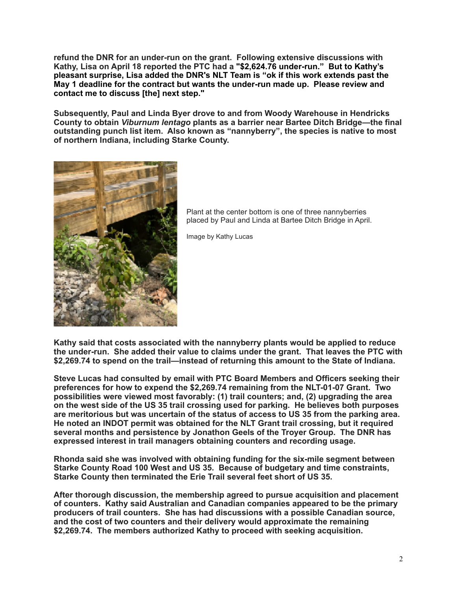**refund the DNR for an under-run on the grant. Following extensive discussions with Kathy, Lisa on April 18 reported the PTC had a "\$2,624.76 under-run." But to Kathy's pleasant surprise, Lisa added the DNR's NLT Team is "ok if this work extends past the May 1 deadline for the contract but wants the under-run made up. Please review and contact me to discuss [the] next step."** 

**Subsequently, Paul and Linda Byer drove to and from Woody Warehouse in Hendricks County to obtain** *Viburnum lentago* **plants as a barrier near Bartee Ditch Bridge—the final outstanding punch list item. Also known as "nannyberry", the species is native to most of northern Indiana, including Starke County.** 



Plant at the center bottom is one of three nannyberries placed by Paul and Linda at Bartee Ditch Bridge in April.

Image by Kathy Lucas

**Kathy said that costs associated with the nannyberry plants would be applied to reduce the under-run. She added their value to claims under the grant. That leaves the PTC with \$2,269.74 to spend on the trail—instead of returning this amount to the State of Indiana.**

**Steve Lucas had consulted by email with PTC Board Members and Officers seeking their preferences for how to expend the \$2,269.74 remaining from the NLT-01-07 Grant. Two possibilities were viewed most favorably: (1) trail counters; and, (2) upgrading the area on the west side of the US 35 trail crossing used for parking. He believes both purposes are meritorious but was uncertain of the status of access to US 35 from the parking area. He noted an INDOT permit was obtained for the NLT Grant trail crossing, but it required several months and persistence by Jonathon Geels of the Troyer Group. The DNR has expressed interest in trail managers obtaining counters and recording usage.** 

**Rhonda said she was involved with obtaining funding for the six-mile segment between Starke County Road 100 West and US 35. Because of budgetary and time constraints, Starke County then terminated the Erie Trail several feet short of US 35.** 

**After thorough discussion, the membership agreed to pursue acquisition and placement of counters. Kathy said Australian and Canadian companies appeared to be the primary producers of trail counters. She has had discussions with a possible Canadian source, and the cost of two counters and their delivery would approximate the remaining \$2,269.74. The members authorized Kathy to proceed with seeking acquisition.**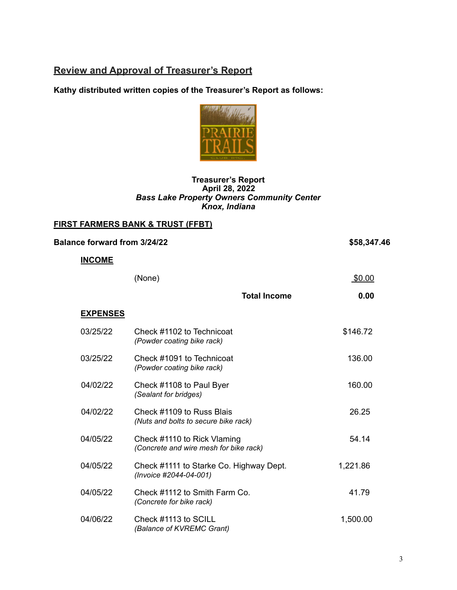# **Review and Approval of Treasurer's Report**

**Kathy distributed written copies of the Treasurer's Report as follows:** 



### **Treasurer's Report April 28, 2022**  *Bass Lake Property Owners Community Center Knox, Indiana*

## **FIRST FARMERS BANK & TRUST (FFBT)**

| <b>Balance forward from 3/24/22</b> | \$58,347.46                                                           |          |
|-------------------------------------|-----------------------------------------------------------------------|----------|
| <b>INCOME</b>                       |                                                                       |          |
|                                     | (None)                                                                | \$0.00   |
|                                     | <b>Total Income</b>                                                   | 0.00     |
| <b>EXPENSES</b>                     |                                                                       |          |
| 03/25/22                            | Check #1102 to Technicoat<br>(Powder coating bike rack)               | \$146.72 |
| 03/25/22                            | Check #1091 to Technicoat<br>(Powder coating bike rack)               | 136.00   |
| 04/02/22                            | Check #1108 to Paul Byer<br>(Sealant for bridges)                     | 160.00   |
| 04/02/22                            | Check #1109 to Russ Blais<br>(Nuts and bolts to secure bike rack)     | 26.25    |
| 04/05/22                            | Check #1110 to Rick Vlaming<br>(Concrete and wire mesh for bike rack) | 54.14    |
| 04/05/22                            | Check #1111 to Starke Co. Highway Dept.<br>(Invoice #2044-04-001)     | 1,221.86 |
| 04/05/22                            | Check #1112 to Smith Farm Co.<br>(Concrete for bike rack)             | 41.79    |
| 04/06/22                            | Check #1113 to SCILL<br>(Balance of KVREMC Grant)                     | 1,500.00 |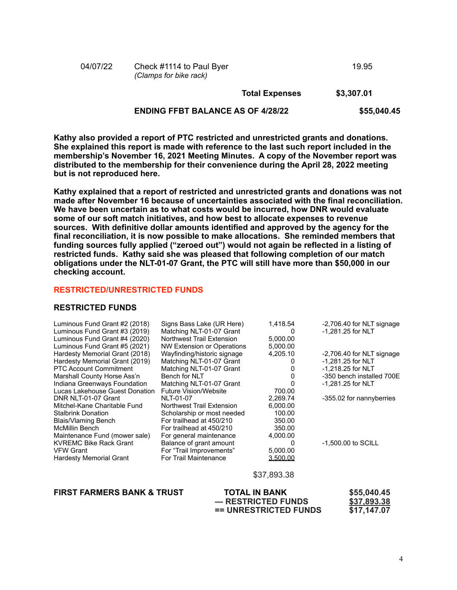|          | <b>ENDING FFBT BALANCE AS OF 4/28/22</b>           |                       | \$55,040.45 |
|----------|----------------------------------------------------|-----------------------|-------------|
|          |                                                    | <b>Total Expenses</b> | \$3,307.01  |
| 04/07/22 | Check #1114 to Paul Byer<br>(Clamps for bike rack) |                       | 19.95       |

**Kathy also provided a report of PTC restricted and unrestricted grants and donations. She explained this report is made with reference to the last such report included in the membership's November 16, 2021 Meeting Minutes. A copy of the November report was distributed to the membership for their convenience during the April 28, 2022 meeting but is not reproduced here.** 

**Kathy explained that a report of restricted and unrestricted grants and donations was not made after November 16 because of uncertainties associated with the final reconciliation. We have been uncertain as to what costs would be incurred, how DNR would evaluate some of our soft match initiatives, and how best to allocate expenses to revenue sources. With definitive dollar amounts identified and approved by the agency for the final reconciliation, it is now possible to make allocations. She reminded members that funding sources fully applied ("zeroed out") would not again be reflected in a listing of restricted funds. Kathy said she was pleased that following completion of our match obligations under the NLT-01-07 Grant, the PTC will still have more than \$50,000 in our checking account.** 

#### **RESTRICTED/UNRESTRICTED FUNDS**

#### **RESTRICTED FUNDS**

| Luminous Fund Grant #2 (2018)  | Signs Bass Lake (UR Here)   | 1,418.54        | $-2,706.40$ for NLT signage |
|--------------------------------|-----------------------------|-----------------|-----------------------------|
| Luminous Fund Grant #3 (2019)  | Matching NLT-01-07 Grant    | $\Omega$        | -1.281.25 for NLT           |
| Luminous Fund Grant #4 (2020)  | Northwest Trail Extension   | 5,000.00        |                             |
| Luminous Fund Grant #5 (2021)  | NW Extension or Operations  | 5,000.00        |                             |
| Hardesty Memorial Grant (2018) | Wayfinding/historic signage | 4.205.10        | -2,706.40 for NLT signage   |
| Hardesty Memorial Grant (2019) | Matching NLT-01-07 Grant    |                 | $-1,281.25$ for NLT         |
| <b>PTC Account Commitment</b>  | Matching NLT-01-07 Grant    |                 | -1,218.25 for NLT           |
| Marshall County Horse Ass'n    | Bench for NLT               |                 | -350 bench installed 700E   |
| Indiana Greenways Foundation   | Matching NLT-01-07 Grant    |                 | $-1,281.25$ for NLT         |
| Lucas Lakehouse Guest Donation | Future Vision/Website       | 700.00          |                             |
| DNR NLT-01-07 Grant            | NLT-01-07                   | 2,269.74        | -355.02 for nannyberries    |
| Mitchel-Kane Charitable Fund   | Northwest Trail Extension   | 6.000.00        |                             |
| <b>Stalbrink Donation</b>      | Scholarship or most needed  | 100.00          |                             |
| Blais/Vlaming Bench            | For trailhead at 450/210    | 350.00          |                             |
| McMillin Bench                 | For trailhead at 450/210    | 350.00          |                             |
| Maintenance Fund (mower sale)  | For general maintenance     | 4,000.00        |                             |
| <b>KVREMC Bike Rack Grant</b>  | Balance of grant amount     | 0               | -1,500.00 to SCILL          |
| <b>VFW Grant</b>               | For "Trail Improvements"    | 5,000.00        |                             |
| <b>Hardesty Memorial Grant</b> | For Trail Maintenance       | <u>3.500.00</u> |                             |
|                                |                             | \$37,893.38     |                             |

### **FIRST FARMERS BANK & TRUST TOTAL IN BANK \$55,040.45**

 **— RESTRICTED FUNDS \$37,893.38 == UNRESTRICTED FUNDS \$17,147.07**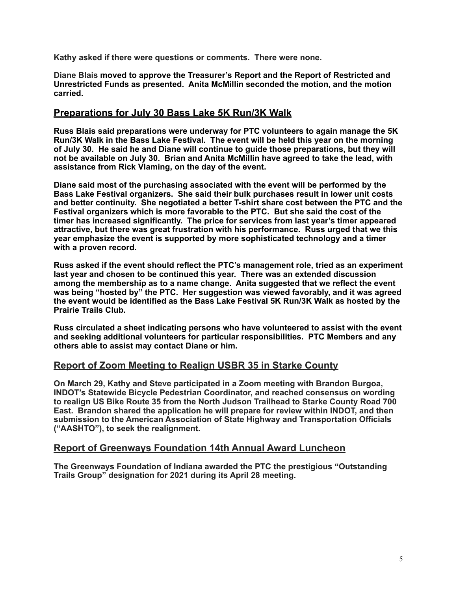**Kathy asked if there were questions or comments. There were none.** 

**Diane Blais moved to approve the Treasurer's Report and the Report of Restricted and Unrestricted Funds as presented. Anita McMillin seconded the motion, and the motion carried.** 

## **Preparations for July 30 Bass Lake 5K Run/3K Walk**

**Russ Blais said preparations were underway for PTC volunteers to again manage the 5K Run/3K Walk in the Bass Lake Festival. The event will be held this year on the morning of July 30. He said he and Diane will continue to guide those preparations, but they will not be available on July 30. Brian and Anita McMillin have agreed to take the lead, with assistance from Rick Vlaming, on the day of the event.** 

**Diane said most of the purchasing associated with the event will be performed by the Bass Lake Festival organizers. She said their bulk purchases result in lower unit costs and better continuity. She negotiated a better T-shirt share cost between the PTC and the Festival organizers which is more favorable to the PTC. But she said the cost of the timer has increased significantly. The price for services from last year's timer appeared attractive, but there was great frustration with his performance. Russ urged that we this year emphasize the event is supported by more sophisticated technology and a timer with a proven record.** 

**Russ asked if the event should reflect the PTC's management role, tried as an experiment last year and chosen to be continued this year. There was an extended discussion among the membership as to a name change. Anita suggested that we reflect the event was being "hosted by" the PTC. Her suggestion was viewed favorably, and it was agreed the event would be identified as the Bass Lake Festival 5K Run/3K Walk as hosted by the Prairie Trails Club.** 

**Russ circulated a sheet indicating persons who have volunteered to assist with the event and seeking additional volunteers for particular responsibilities. PTC Members and any others able to assist may contact Diane or him.** 

## **Report of Zoom Meeting to Realign USBR 35 in Starke County**

**On March 29, Kathy and Steve participated in a Zoom meeting with Brandon Burgoa, INDOT's Statewide Bicycle Pedestrian Coordinator, and reached consensus on wording to realign US Bike Route 35 from the North Judson Trailhead to Starke County Road 700 East. Brandon shared the application he will prepare for review within INDOT, and then submission to the American Association of State Highway and Transportation Officials ("AASHTO"), to seek the realignment.** 

## **Report of Greenways Foundation 14th Annual Award Luncheon**

**The Greenways Foundation of Indiana awarded the PTC the prestigious "Outstanding Trails Group" designation for 2021 during its April 28 meeting.**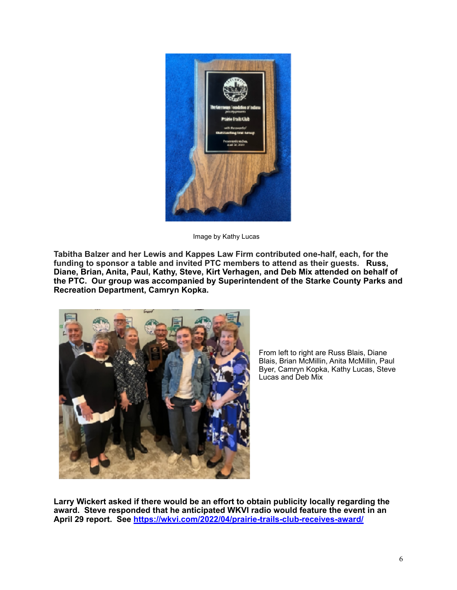

Image by Kathy Lucas

**Tabitha Balzer and her Lewis and Kappes Law Firm contributed one-half, each, for the funding to sponsor a table and invited PTC members to attend as their guests. Russ, Diane, Brian, Anita, Paul, Kathy, Steve, Kirt Verhagen, and Deb Mix attended on behalf of the PTC. Our group was accompanied by Superintendent of the Starke County Parks and Recreation Department, Camryn Kopka.**



From left to right are Russ Blais, Diane Blais, Brian McMillin, Anita McMillin, Paul Byer, Camryn Kopka, Kathy Lucas, Steve Lucas and Deb Mix

**Larry Wickert asked if there would be an effort to obtain publicity locally regarding the award. Steve responded that he anticipated WKVI radio would feature the event in an April 29 report. See <https://wkvi.com/2022/04/prairie-trails-club-receives-award/>**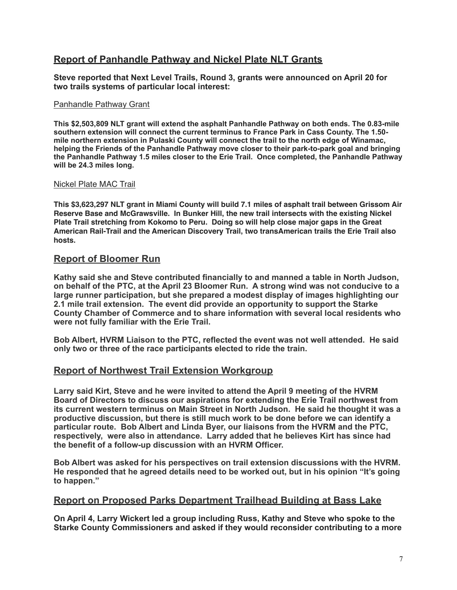# **Report of Panhandle Pathway and Nickel Plate NLT Grants**

**Steve reported that Next Level Trails, Round 3, grants were announced on April 20 for two trails systems of particular local interest:** 

### Panhandle Pathway Grant

**This \$2,503,809 NLT grant will extend the asphalt Panhandle Pathway on both ends. The 0.83-mile southern extension will connect the current terminus to France Park in Cass County. The 1.50 mile northern extension in Pulaski County will connect the trail to the north edge of Winamac, helping the Friends of the Panhandle Pathway move closer to their park-to-park goal and bringing the Panhandle Pathway 1.5 miles closer to the Erie Trail. Once completed, the Panhandle Pathway will be 24.3 miles long.**

### Nickel Plate MAC Trail

**This \$3,623,297 NLT grant in Miami County will build 7.1 miles of asphalt trail between Grissom Air Reserve Base and McGrawsville. In Bunker Hill, the new trail intersects with the existing Nickel Plate Trail stretching from Kokomo to Peru. Doing so will help close major gaps in the Great American Rail-Trail and the American Discovery Trail, two transAmerican trails the Erie Trail also hosts.**

### **Report of Bloomer Run**

**Kathy said she and Steve contributed financially to and manned a table in North Judson, on behalf of the PTC, at the April 23 Bloomer Run. A strong wind was not conducive to a large runner participation, but she prepared a modest display of images highlighting our 2.1 mile trail extension. The event did provide an opportunity to support the Starke County Chamber of Commerce and to share information with several local residents who were not fully familiar with the Erie Trail.** 

**Bob Albert, HVRM Liaison to the PTC, reflected the event was not well attended. He said only two or three of the race participants elected to ride the train.** 

## **Report of Northwest Trail Extension Workgroup**

**Larry said Kirt, Steve and he were invited to attend the April 9 meeting of the HVRM Board of Directors to discuss our aspirations for extending the Erie Trail northwest from its current western terminus on Main Street in North Judson. He said he thought it was a productive discussion, but there is still much work to be done before we can identify a particular route. Bob Albert and Linda Byer, our liaisons from the HVRM and the PTC, respectively, were also in attendance. Larry added that he believes Kirt has since had the benefit of a follow-up discussion with an HVRM Officer.** 

**Bob Albert was asked for his perspectives on trail extension discussions with the HVRM. He responded that he agreed details need to be worked out, but in his opinion "It's going to happen."** 

## **Report on Proposed Parks Department Trailhead Building at Bass Lake**

**On April 4, Larry Wickert led a group including Russ, Kathy and Steve who spoke to the Starke County Commissioners and asked if they would reconsider contributing to a more**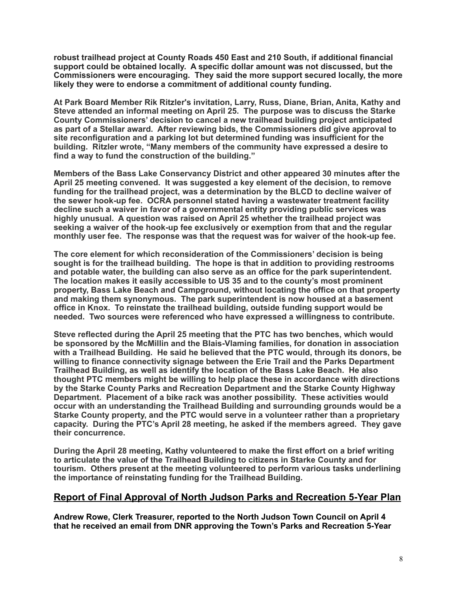**robust trailhead project at County Roads 450 East and 210 South, if additional financial support could be obtained locally. A specific dollar amount was not discussed, but the Commissioners were encouraging. They said the more support secured locally, the more likely they were to endorse a commitment of additional county funding.** 

**At Park Board Member Rik Ritzler's invitation, Larry, Russ, Diane, Brian, Anita, Kathy and Steve attended an informal meeting on April 25. The purpose was to discuss the Starke County Commissioners' decision to cancel a new trailhead building project anticipated as part of a Stellar award. After reviewing bids, the Commissioners did give approval to site reconfiguration and a parking lot but determined funding was insufficient for the building. Ritzler wrote, "Many members of the community have expressed a desire to find a way to fund the construction of the building."** 

**Members of the Bass Lake Conservancy District and other appeared 30 minutes after the April 25 meeting convened. It was suggested a key element of the decision, to remove funding for the trailhead project, was a determination by the BLCD to decline waiver of the sewer hook-up fee. OCRA personnel stated having a wastewater treatment facility decline such a waiver in favor of a governmental entity providing public services was highly unusual. A question was raised on April 25 whether the trailhead project was seeking a waiver of the hook-up fee exclusively or exemption from that and the regular monthly user fee. The response was that the request was for waiver of the hook-up fee.** 

**The core element for which reconsideration of the Commissioners' decision is being sought is for the trailhead building. The hope is that in addition to providing restrooms and potable water, the building can also serve as an office for the park superintendent. The location makes it easily accessible to US 35 and to the county's most prominent property, Bass Lake Beach and Campground, without locating the office on that property and making them synonymous. The park superintendent is now housed at a basement office in Knox. To reinstate the trailhead building, outside funding support would be needed. Two sources were referenced who have expressed a willingness to contribute.** 

**Steve reflected during the April 25 meeting that the PTC has two benches, which would be sponsored by the McMillin and the Blais-Vlaming families, for donation in association with a Trailhead Building. He said he believed that the PTC would, through its donors, be willing to finance connectivity signage between the Erie Trail and the Parks Department Trailhead Building, as well as identify the location of the Bass Lake Beach. He also thought PTC members might be willing to help place these in accordance with directions by the Starke County Parks and Recreation Department and the Starke County Highway Department. Placement of a bike rack was another possibility. These activities would occur with an understanding the Trailhead Building and surrounding grounds would be a Starke County property, and the PTC would serve in a volunteer rather than a proprietary capacity. During the PTC's April 28 meeting, he asked if the members agreed. They gave their concurrence.** 

**During the April 28 meeting, Kathy volunteered to make the first effort on a brief writing to articulate the value of the Trailhead Building to citizens in Starke County and for tourism. Others present at the meeting volunteered to perform various tasks underlining the importance of reinstating funding for the Trailhead Building.** 

## **Report of Final Approval of North Judson Parks and Recreation 5-Year Plan**

**Andrew Rowe, Clerk Treasurer, reported to the North Judson Town Council on April 4 that he received an email from DNR approving the Town's Parks and Recreation 5-Year**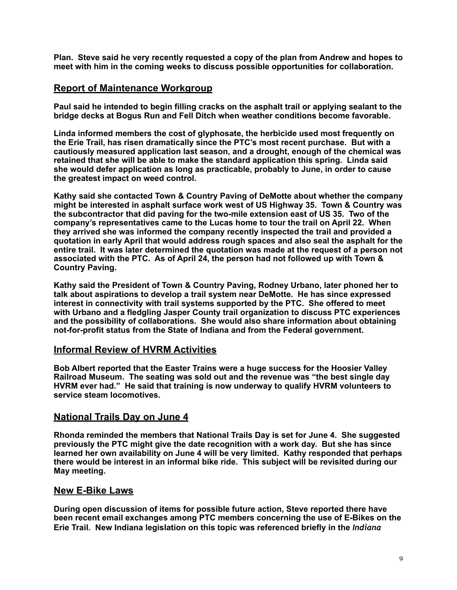**Plan. Steve said he very recently requested a copy of the plan from Andrew and hopes to meet with him in the coming weeks to discuss possible opportunities for collaboration.** 

## **Report of Maintenance Workgroup**

**Paul said he intended to begin filling cracks on the asphalt trail or applying sealant to the bridge decks at Bogus Run and Fell Ditch when weather conditions become favorable.** 

**Linda informed members the cost of glyphosate, the herbicide used most frequently on the Erie Trail, has risen dramatically since the PTC's most recent purchase. But with a cautiously measured application last season, and a drought, enough of the chemical was retained that she will be able to make the standard application this spring. Linda said she would defer application as long as practicable, probably to June, in order to cause the greatest impact on weed control.** 

**Kathy said she contacted Town & Country Paving of DeMotte about whether the company might be interested in asphalt surface work west of US Highway 35. Town & Country was the subcontractor that did paving for the two-mile extension east of US 35. Two of the company's representatives came to the Lucas home to tour the trail on April 22. When they arrived she was informed the company recently inspected the trail and provided a quotation in early April that would address rough spaces and also seal the asphalt for the entire trail. It was later determined the quotation was made at the request of a person not associated with the PTC. As of April 24, the person had not followed up with Town & Country Paving.** 

**Kathy said the President of Town & Country Paving, Rodney Urbano, later phoned her to talk about aspirations to develop a trail system near DeMotte. He has since expressed interest in connectivity with trail systems supported by the PTC. She offered to meet with Urbano and a fledgling Jasper County trail organization to discuss PTC experiences and the possibility of collaborations. She would also share information about obtaining not-for-profit status from the State of Indiana and from the Federal government.** 

## **Informal Review of HVRM Activities**

**Bob Albert reported that the Easter Trains were a huge success for the Hoosier Valley Railroad Museum. The seating was sold out and the revenue was "the best single day HVRM ever had." He said that training is now underway to qualify HVRM volunteers to service steam locomotives.** 

## **National Trails Day on June 4**

**Rhonda reminded the members that National Trails Day is set for June 4. She suggested previously the PTC might give the date recognition with a work day. But she has since learned her own availability on June 4 will be very limited. Kathy responded that perhaps there would be interest in an informal bike ride. This subject will be revisited during our May meeting.** 

## **New E-Bike Laws**

**During open discussion of items for possible future action, Steve reported there have been recent email exchanges among PTC members concerning the use of E-Bikes on the Erie Trail. New Indiana legislation on this topic was referenced briefly in the** *Indiana*